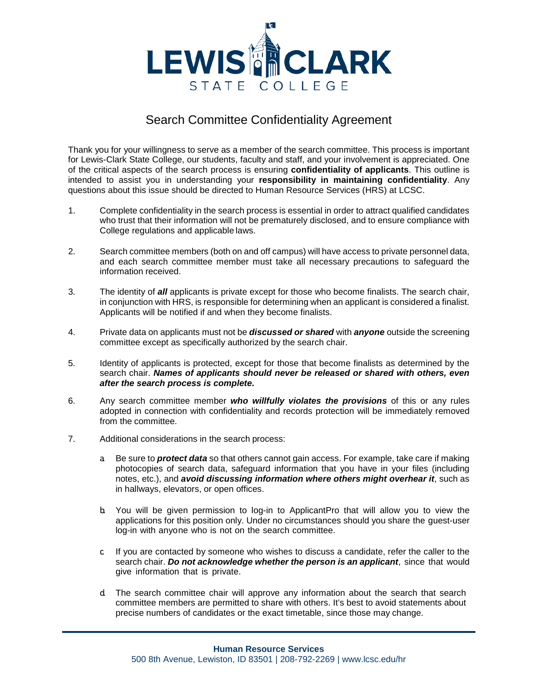

## Search Committee Confidentiality Agreement

 Thank you for your willingness to serve as a member of the search committee. This process is important of the critical aspects of the search process is ensuring **confidentiality of applicants**. This outline is intended to assist you in understanding your **responsibility in maintaining confidentiality**. Any for Lewis-Clark State College, our students, faculty and staff, and your involvement is appreciated. One questions about this issue should be directed to Human Resource Services (HRS) at LCSC.

- who trust that their information will not be prematurely disclosed, and to ensure compliance with College regulations and applicable laws. 1. Complete confidentiality in the search process is essential in order to attract qualified candidates
- information received. 2. Search committee members (both on and off campus) will have access to private personnel data, and each search committee member must take all necessary precautions to safeguard the
- 3. The identity of *all* applicants is private except for those who become finalists. The search chair, Applicants will be notified if and when they become finalists. in conjunction with HRS, is responsible for determining when an applicant is considered a finalist.
- 4. Private data on applicants must not be *discussed or shared* with *anyone* outside the screening committee except as specifically authorized by the search chair.
- 5. Identity of applicants is protected, except for those that become finalists as determined by the  search chair. *Names of applicants should never be released or shared with others, even after the search process is complete.*
- from the committee. 6. Any search committee member *who willfully violates the provisions* of this or any rules adopted in connection with confidentiality and records protection will be immediately removed
- 7. Additional considerations in the search process:
	- notes, etc.), and *avoid discussing information where others might overhear it*, such as a. Be sure to *protect data* so that others cannot gain access. For example, take care if making photocopies of search data, safeguard information that you have in your files (including in hallways, elevators, or open offices.
	- b. You will be given permission to log-in to ApplicantPro that will allow you to view the applications for this position only. Under no circumstances should you share the guest-user log-in with anyone who is not on the search committee.
	- search chair. *Do not acknowledge whether the person is an applicant*, since that would give information that is private. c. If you are contacted by someone who wishes to discuss a candidate, refer the caller to the
	- d. The search committee chair will approve any information about the search that search precise numbers of candidates or the exact timetable, since those may change. committee members are permitted to share with others. It's best to avoid statements about